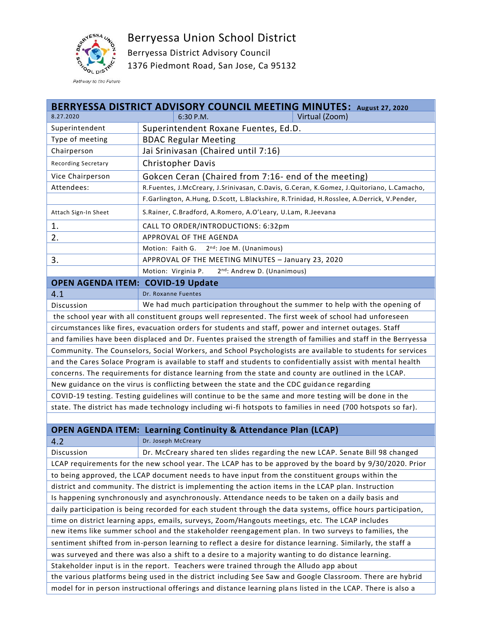

Berryessa Union School District

Berryessa District Advisory Council 1376 Piedmont Road, San Jose, Ca 95132

| BERRYESSA DISTRICT ADVISORY COUNCIL MEETING MINUTES: August 27, 2020                                         |                                                                                          |  |  |  |
|--------------------------------------------------------------------------------------------------------------|------------------------------------------------------------------------------------------|--|--|--|
| 8.27.2020                                                                                                    | Virtual (Zoom)<br>6:30 P.M.                                                              |  |  |  |
| Superintendent                                                                                               | Superintendent Roxane Fuentes, Ed.D.                                                     |  |  |  |
| Type of meeting                                                                                              | <b>BDAC Regular Meeting</b>                                                              |  |  |  |
| Chairperson                                                                                                  | Jai Srinivasan (Chaired until 7:16)                                                      |  |  |  |
| <b>Recording Secretary</b>                                                                                   | <b>Christopher Davis</b>                                                                 |  |  |  |
| Vice Chairperson                                                                                             | Gokcen Ceran (Chaired from 7:16- end of the meeting)                                     |  |  |  |
| Attendees:                                                                                                   | R.Fuentes, J.McCreary, J.Srinivasan, C.Davis, G.Ceran, K.Gomez, J.Quitoriano, L.Camacho, |  |  |  |
|                                                                                                              | F.Garlington, A.Hung, D.Scott, L.Blackshire, R.Trinidad, H.Rosslee, A.Derrick, V.Pender, |  |  |  |
| Attach Sign-In Sheet                                                                                         | S.Rainer, C.Bradford, A.Romero, A.O'Leary, U.Lam, R.Jeevana                              |  |  |  |
| 1.                                                                                                           | CALL TO ORDER/INTRODUCTIONS: 6:32pm                                                      |  |  |  |
| 2.                                                                                                           | APPROVAL OF THE AGENDA                                                                   |  |  |  |
|                                                                                                              | Motion: Faith G.<br>2 <sup>nd</sup> : Joe M. (Unanimous)                                 |  |  |  |
| 3.                                                                                                           | APPROVAL OF THE MEETING MINUTES - January 23, 2020                                       |  |  |  |
|                                                                                                              | Motion: Virginia P.<br>2 <sup>nd</sup> : Andrew D. (Unanimous)                           |  |  |  |
| <b>OPEN AGENDA ITEM: COVID-19 Update</b>                                                                     |                                                                                          |  |  |  |
| 4.1                                                                                                          | Dr. Roxanne Fuentes                                                                      |  |  |  |
| Discussion                                                                                                   | We had much participation throughout the summer to help with the opening of              |  |  |  |
| the school year with all constituent groups well represented. The first week of school had unforeseen        |                                                                                          |  |  |  |
| circumstances like fires, evacuation orders for students and staff, power and internet outages. Staff        |                                                                                          |  |  |  |
| and families have been displaced and Dr. Fuentes praised the strength of families and staff in the Berryessa |                                                                                          |  |  |  |
| Community. The Counselors, Social Workers, and School Psychologists are available to students for services   |                                                                                          |  |  |  |
| and the Cares Solace Program is available to staff and students to confidentially assist with mental health  |                                                                                          |  |  |  |
| concerns. The requirements for distance learning from the state and county are outlined in the LCAP.         |                                                                                          |  |  |  |
| New guidance on the virus is conflicting between the state and the CDC guidance regarding                    |                                                                                          |  |  |  |
| COVID-19 testing. Testing guidelines will continue to be the same and more testing will be done in the       |                                                                                          |  |  |  |
| state. The district has made technology including wi-fi hotspots to families in need (700 hotspots so far).  |                                                                                          |  |  |  |
|                                                                                                              |                                                                                          |  |  |  |
|                                                                                                              | <b>OPEN AGENDA ITEM: Learning Continuity &amp; Attendance Plan (LCAP)</b>                |  |  |  |
| 4.2                                                                                                          | Dr. Joseph McCreary                                                                      |  |  |  |
| Discussion                                                                                                   | Dr. McCreary shared ten slides regarding the new LCAP. Senate Bill 98 changed            |  |  |  |
| LCAP requirements for the new school year. The LCAP has to be approved by the board by 9/30/2020. Prior      |                                                                                          |  |  |  |
| to being approved, the LCAP document needs to have input from the constituent groups within the              |                                                                                          |  |  |  |
| district and community. The district is implementing the action items in the LCAP plan. Instruction          |                                                                                          |  |  |  |

Is happening synchronously and asynchronously. Attendance needs to be taken on a daily basis and daily participation is being recorded for each student through the data systems, office hours participation,

time on district learning apps, emails, surveys, Zoom/Hangouts meetings, etc. The LCAP includes

new items like summer school and the stakeholder reengagement plan. In two surveys to families, the

sentiment shifted from in-person learning to reflect a desire for distance learning. Similarly, the staff a

was surveyed and there was also a shift to a desire to a majority wanting to do distance learning.

Stakeholder input is in the report. Teachers were trained through the Alludo app about

the various platforms being used in the district including See Saw and Google Classroom. There are hybrid model for in person instructional offerings and distance learning plans listed in the LCAP. There is also a